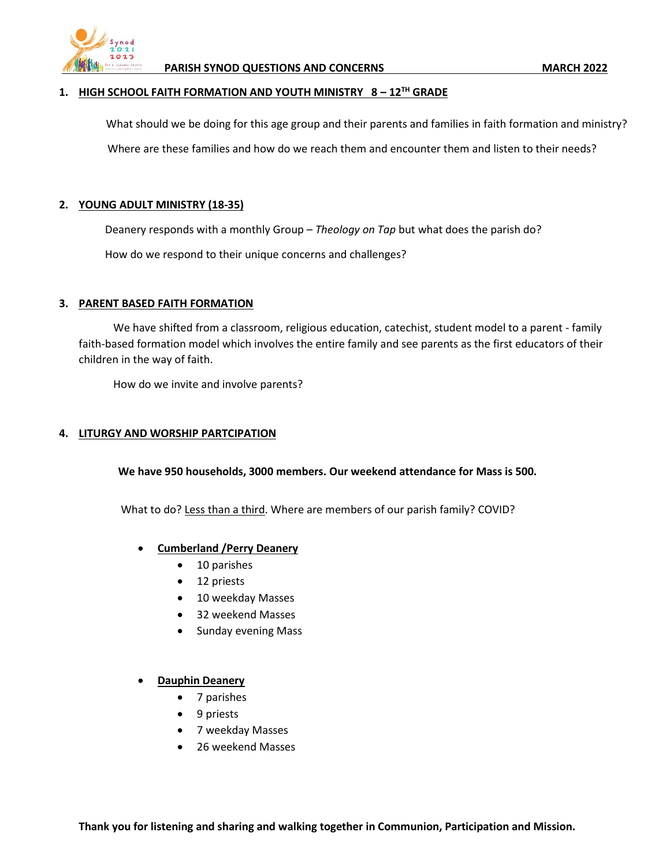

### **1. HIGH SCHOOL FAITH FORMATION AND YOUTH MINISTRY 8 – 12TH GRADE**

What should we be doing for this age group and their parents and families in faith formation and ministry?

Where are these families and how do we reach them and encounter them and listen to their needs?

## **2. YOUNG ADULT MINISTRY (18-35)**

Deanery responds with a monthly Group – *Theology on Tap* but what does the parish do?

How do we respond to their unique concerns and challenges?

## **3. PARENT BASED FAITH FORMATION**

We have shifted from a classroom, religious education, catechist, student model to a parent - family faith-based formation model which involves the entire family and see parents as the first educators of their children in the way of faith.

How do we invite and involve parents?

# **4. LITURGY AND WORSHIP PARTCIPATION**

**We have 950 households, 3000 members. Our weekend attendance for Mass is 500.**

What to do? Less than a third. Where are members of our parish family? COVID?

- **Cumberland /Perry Deanery**
	- 10 parishes
	- 12 priests
	- 10 weekday Masses
	- 32 weekend Masses
	- Sunday evening Mass

### • **Dauphin Deanery**

- 7 parishes
- 9 priests
- 7 weekday Masses
- 26 weekend Masses